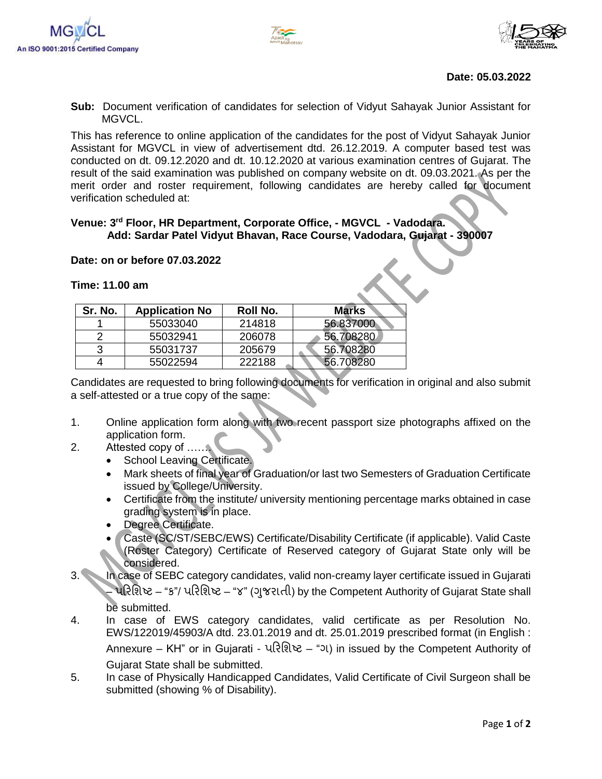



#### **Date: 05.03.2022**

**Sub:** Document verification of candidates for selection of Vidyut Sahayak Junior Assistant for MGVCL.

This has reference to online application of the candidates for the post of Vidyut Sahayak Junior Assistant for MGVCL in view of advertisement dtd. 26.12.2019. A computer based test was conducted on dt. 09.12.2020 and dt. 10.12.2020 at various examination centres of Gujarat. The result of the said examination was published on company website on dt. 09.03.2021. As per the merit order and roster requirement, following candidates are hereby called for document verification scheduled at:

### **Venue: 3rd Floor, HR Department, Corporate Office, - MGVCL - Vadodara. Add: Sardar Patel Vidyut Bhavan, Race Course, Vadodara, Gujarat - 390007**

#### **Date: on or before 07.03.2022**

# **Sr. No. Application No Roll No. Marks** 1 55033040 214818 56.837000 2 55032941 206078 56.708280 3 55031737 205679 56.708280 4 55022594 222188 56.708280

**Time: 11.00 am**

Candidates are requested to bring following documents for verification in original and also submit a self-attested or a true copy of the same:

- 1. Online application form along with two recent passport size photographs affixed on the application form.
- 2. Attested copy of …….
	- School Leaving Certificate.
	- Mark sheets of final year of Graduation/or last two Semesters of Graduation Certificate issued by College/University.
	- Certificate from the institute/ university mentioning percentage marks obtained in case grading system is in place.
	- Degree Certificate.
	- Caste (SC/ST/SEBC/EWS) Certificate/Disability Certificate (if applicable). Valid Caste (Roster Category) Certificate of Reserved category of Gujarat State only will be considered.
- 3. In case of SEBC category candidates, valid non-creamy layer certificate issued in Gujarati પરિશિષ્ટ – "ક"/ પરિશિષ્ટ – "૪" (ગુજરાતી) by the Competent Authority of Gujarat State shall be submitted.
- 4. In case of EWS category candidates, valid certificate as per Resolution No. EWS/122019/45903/A dtd. 23.01.2019 and dt. 25.01.2019 prescribed format (in English : Annexure – KH" or in Gujarati - પરિશિષ્ટ – "ગ) in issued by the Competent Authority of Gujarat State shall be submitted.
- 5. In case of Physically Handicapped Candidates, Valid Certificate of Civil Surgeon shall be submitted (showing % of Disability).